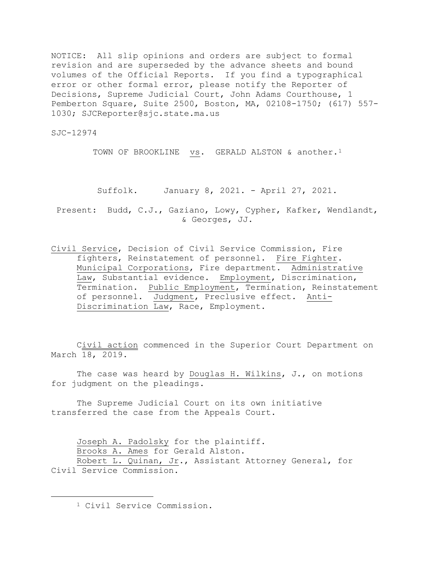NOTICE: All slip opinions and orders are subject to formal revision and are superseded by the advance sheets and bound volumes of the Official Reports. If you find a typographical error or other formal error, please notify the Reporter of Decisions, Supreme Judicial Court, John Adams Courthouse, 1 Pemberton Square, Suite 2500, Boston, MA, 02108-1750; (617) 557- 1030; SJCReporter@sjc.state.ma.us

SJC-12974

TOWN OF BROOKLINE vs. GERALD ALSTON & another.<sup>[1](#page-0-0)</sup>

Suffolk. January 8, 2021. - April 27, 2021.

Present: Budd, C.J., Gaziano, Lowy, Cypher, Kafker, Wendlandt, & Georges, JJ.

Civil Service, Decision of Civil Service Commission, Fire fighters, Reinstatement of personnel. Fire Fighter. Municipal Corporations, Fire department. Administrative Law, Substantial evidence. Employment, Discrimination, Termination. Public Employment, Termination, Reinstatement of personnel. Judgment, Preclusive effect. Anti-Discrimination Law, Race, Employment.

Civil action commenced in the Superior Court Department on March 18, 2019.

The case was heard by Douglas H. Wilkins, J., on motions for judgment on the pleadings.

The Supreme Judicial Court on its own initiative transferred the case from the Appeals Court.

Joseph A. Padolsky for the plaintiff. Brooks A. Ames for Gerald Alston. Robert L. Quinan, Jr., Assistant Attorney General, for

<span id="page-0-0"></span>Civil Service Commission.

<sup>1</sup> Civil Service Commission.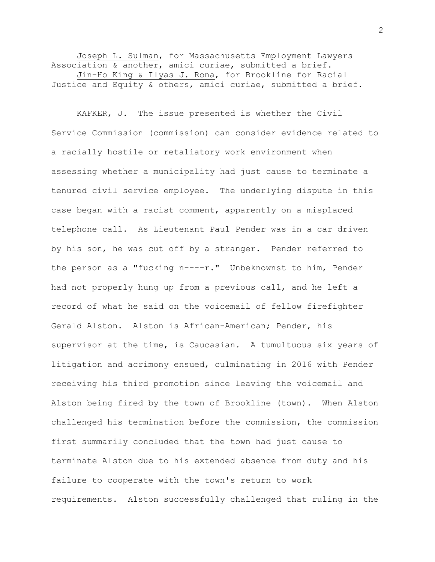Joseph L. Sulman, for Massachusetts Employment Lawyers Association & another, amici curiae, submitted a brief. Jin-Ho King & Ilyas J. Rona, for Brookline for Racial Justice and Equity & others, amici curiae, submitted a brief.

KAFKER, J. The issue presented is whether the Civil Service Commission (commission) can consider evidence related to a racially hostile or retaliatory work environment when assessing whether a municipality had just cause to terminate a tenured civil service employee. The underlying dispute in this case began with a racist comment, apparently on a misplaced telephone call. As Lieutenant Paul Pender was in a car driven by his son, he was cut off by a stranger.Pender referred to the person as a "fucking n----r." Unbeknownst to him, Pender had not properly hung up from a previous call, and he left a record of what he said on the voicemail of fellow firefighter Gerald Alston. Alston is African-American; Pender, his supervisor at the time, is Caucasian. A tumultuous six years of litigation and acrimony ensued, culminating in 2016 with Pender receiving his third promotion since leaving the voicemail and Alston being fired by the town of Brookline (town). When Alston challenged his termination before the commission, the commission first summarily concluded that the town had just cause to terminate Alston due to his extended absence from duty and his failure to cooperate with the town's return to work requirements. Alston successfully challenged that ruling in the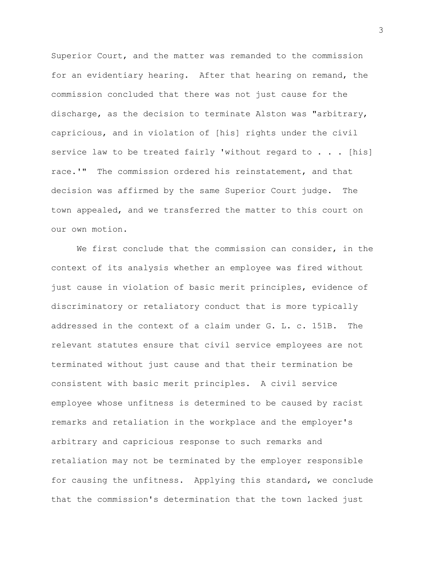Superior Court, and the matter was remanded to the commission for an evidentiary hearing. After that hearing on remand, the commission concluded that there was not just cause for the discharge, as the decision to terminate Alston was "arbitrary, capricious, and in violation of [his] rights under the civil service law to be treated fairly 'without regard to . . . [his] race.'" The commission ordered his reinstatement, and that decision was affirmed by the same Superior Court judge. The town appealed, and we transferred the matter to this court on our own motion.

We first conclude that the commission can consider, in the context of its analysis whether an employee was fired without just cause in violation of basic merit principles, evidence of discriminatory or retaliatory conduct that is more typically addressed in the context of a claim under G. L. c. 151B. The relevant statutes ensure that civil service employees are not terminated without just cause and that their termination be consistent with basic merit principles. A civil service employee whose unfitness is determined to be caused by racist remarks and retaliation in the workplace and the employer's arbitrary and capricious response to such remarks and retaliation may not be terminated by the employer responsible for causing the unfitness. Applying this standard, we conclude that the commission's determination that the town lacked just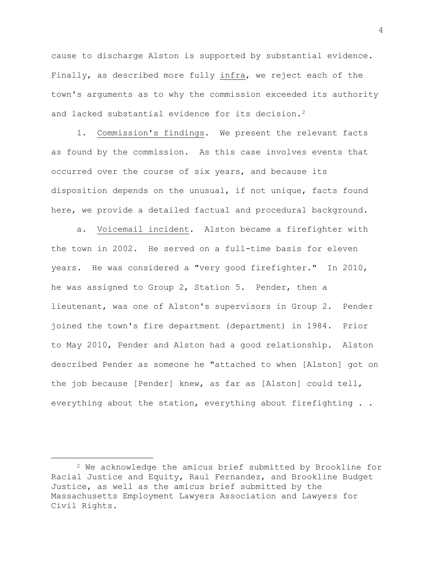cause to discharge Alston is supported by substantial evidence. Finally, as described more fully infra, we reject each of the town's arguments as to why the commission exceeded its authority and lacked substantial evidence for its decision.<sup>[2](#page-3-0)</sup>

1. Commission's findings. We present the relevant facts as found by the commission. As this case involves events that occurred over the course of six years, and because its disposition depends on the unusual, if not unique, facts found here, we provide a detailed factual and procedural background.

a. Voicemail incident. Alston became a firefighter with the town in 2002. He served on a full-time basis for eleven years. He was considered a "very good firefighter." In 2010, he was assigned to Group 2, Station 5. Pender, then a lieutenant, was one of Alston's supervisors in Group 2. Pender joined the town's fire department (department) in 1984. Prior to May 2010, Pender and Alston had a good relationship. Alston described Pender as someone he "attached to when [Alston] got on the job because [Pender] knew, as far as [Alston] could tell, everything about the station, everything about firefighting . .

<span id="page-3-0"></span><sup>2</sup> We acknowledge the amicus brief submitted by Brookline for Racial Justice and Equity, Raul Fernandez, and Brookline Budget Justice, as well as the amicus brief submitted by the Massachusetts Employment Lawyers Association and Lawyers for Civil Rights.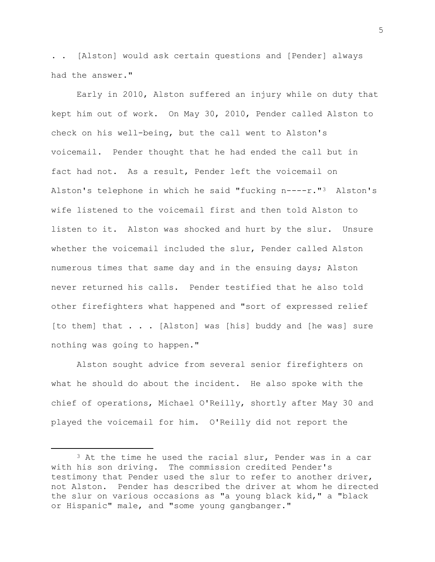. . [Alston] would ask certain questions and [Pender] always had the answer."

Early in 2010, Alston suffered an injury while on duty that kept him out of work. On May 30, 2010, Pender called Alston to check on his well-being, but the call went to Alston's voicemail. Pender thought that he had ended the call but in fact had not. As a result, Pender left the voicemail on Alston's telephone in which he said "fucking n----r."[3](#page-4-0) Alston's wife listened to the voicemail first and then told Alston to listen to it. Alston was shocked and hurt by the slur. Unsure whether the voicemail included the slur, Pender called Alston numerous times that same day and in the ensuing days; Alston never returned his calls. Pender testified that he also told other firefighters what happened and "sort of expressed relief [to them] that . . . [Alston] was [his] buddy and [he was] sure nothing was going to happen."

Alston sought advice from several senior firefighters on what he should do about the incident. He also spoke with the chief of operations, Michael O'Reilly, shortly after May 30 and played the voicemail for him. O'Reilly did not report the

<span id="page-4-0"></span> $3$  At the time he used the racial slur, Pender was in a car with his son driving. The commission credited Pender's testimony that Pender used the slur to refer to another driver, not Alston. Pender has described the driver at whom he directed the slur on various occasions as "a young black kid," a "black or Hispanic" male, and "some young gangbanger."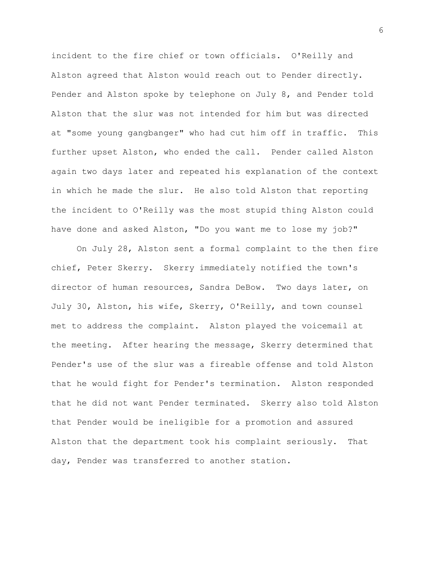incident to the fire chief or town officials. O'Reilly and Alston agreed that Alston would reach out to Pender directly. Pender and Alston spoke by telephone on July 8, and Pender told Alston that the slur was not intended for him but was directed at "some young gangbanger" who had cut him off in traffic. This further upset Alston, who ended the call. Pender called Alston again two days later and repeated his explanation of the context in which he made the slur. He also told Alston that reporting the incident to O'Reilly was the most stupid thing Alston could have done and asked Alston, "Do you want me to lose my job?"

On July 28, Alston sent a formal complaint to the then fire chief, Peter Skerry. Skerry immediately notified the town's director of human resources, Sandra DeBow. Two days later, on July 30, Alston, his wife, Skerry, O'Reilly, and town counsel met to address the complaint. Alston played the voicemail at the meeting. After hearing the message, Skerry determined that Pender's use of the slur was a fireable offense and told Alston that he would fight for Pender's termination. Alston responded that he did not want Pender terminated. Skerry also told Alston that Pender would be ineligible for a promotion and assured Alston that the department took his complaint seriously. That day, Pender was transferred to another station.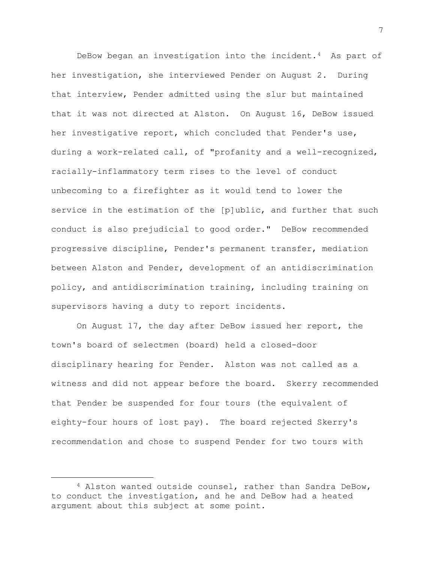DeBow began an investigation into the incident.[4](#page-6-0) As part of her investigation, she interviewed Pender on August 2. During that interview, Pender admitted using the slur but maintained that it was not directed at Alston. On August 16, DeBow issued her investigative report, which concluded that Pender's use, during a work-related call, of "profanity and a well-recognized, racially-inflammatory term rises to the level of conduct unbecoming to a firefighter as it would tend to lower the service in the estimation of the [p]ublic, and further that such conduct is also prejudicial to good order." DeBow recommended progressive discipline, Pender's permanent transfer, mediation between Alston and Pender, development of an antidiscrimination policy, and antidiscrimination training, including training on supervisors having a duty to report incidents.

On August 17, the day after DeBow issued her report, the town's board of selectmen (board) held a closed-door disciplinary hearing for Pender. Alston was not called as a witness and did not appear before the board. Skerry recommended that Pender be suspended for four tours (the equivalent of eighty-four hours of lost pay). The board rejected Skerry's recommendation and chose to suspend Pender for two tours with

<span id="page-6-0"></span><sup>4</sup> Alston wanted outside counsel, rather than Sandra DeBow, to conduct the investigation, and he and DeBow had a heated argument about this subject at some point.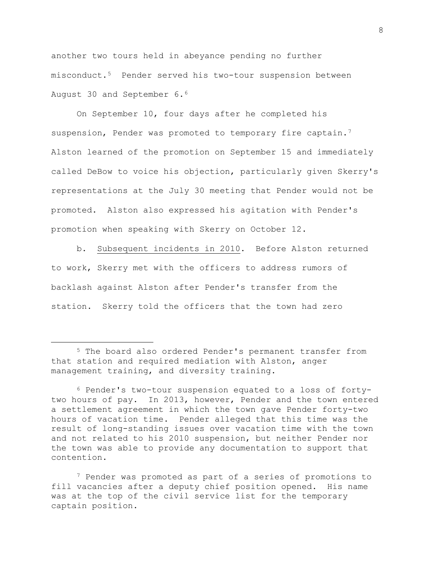another two tours held in abeyance pending no further misconduct.[5](#page-7-0) Pender served his two-tour suspension between August 30 and September 6.[6](#page-7-1)

On September 10, four days after he completed his suspension, Pender was promoted to temporary fire captain.<sup>7</sup> Alston learned of the promotion on September 15 and immediately called DeBow to voice his objection, particularly given Skerry's representations at the July 30 meeting that Pender would not be promoted. Alston also expressed his agitation with Pender's promotion when speaking with Skerry on October 12.

b. Subsequent incidents in 2010. Before Alston returned to work, Skerry met with the officers to address rumors of backlash against Alston after Pender's transfer from the station. Skerry told the officers that the town had zero

<span id="page-7-0"></span><sup>5</sup> The board also ordered Pender's permanent transfer from that station and required mediation with Alston, anger management training, and diversity training.

<span id="page-7-1"></span><sup>6</sup> Pender's two-tour suspension equated to a loss of fortytwo hours of pay. In 2013, however, Pender and the town entered a settlement agreement in which the town gave Pender forty-two hours of vacation time. Pender alleged that this time was the result of long-standing issues over vacation time with the town and not related to his 2010 suspension, but neither Pender nor the town was able to provide any documentation to support that contention.

<span id="page-7-2"></span><sup>&</sup>lt;sup>7</sup> Pender was promoted as part of a series of promotions to vacancies after a deputy chief position opened. His name fill vacancies after a deputy chief position opened. was at the top of the civil service list for the temporary captain position.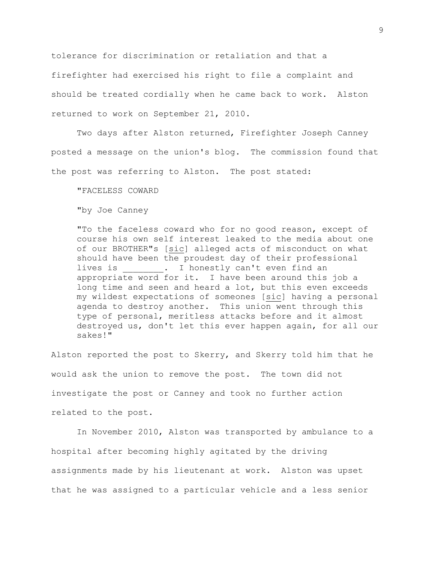tolerance for discrimination or retaliation and that a firefighter had exercised his right to file a complaint and should be treated cordially when he came back to work. Alston returned to work on September 21, 2010.

Two days after Alston returned, Firefighter Joseph Canney posted a message on the union's blog. The commission found that the post was referring to Alston. The post stated:

"FACELESS COWARD

"by Joe Canney

"To the faceless coward who for no good reason, except of course his own self interest leaked to the media about one of our BROTHER"s [sic] alleged acts of misconduct on what should have been the proudest day of their professional lives is . I honestly can't even find an appropriate word for it. I have been around this job a long time and seen and heard a lot, but this even exceeds my wildest expectations of someones [sic] having a personal agenda to destroy another. This union went through this type of personal, meritless attacks before and it almost destroyed us, don't let this ever happen again, for all our sakes!"

Alston reported the post to Skerry, and Skerry told him that he would ask the union to remove the post. The town did not investigate the post or Canney and took no further action related to the post.

In November 2010, Alston was transported by ambulance to a hospital after becoming highly agitated by the driving assignments made by his lieutenant at work. Alston was upset that he was assigned to a particular vehicle and a less senior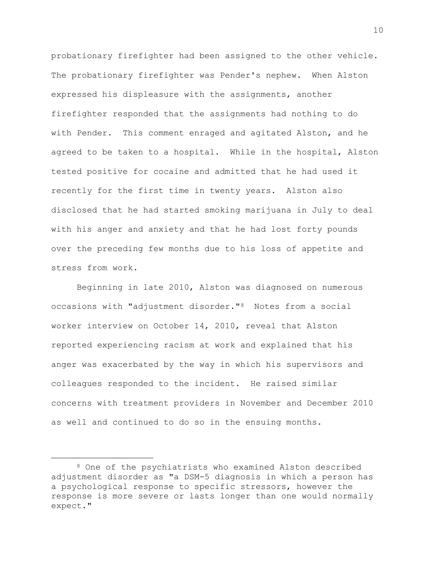probationary firefighter had been assigned to the other vehicle. The probationary firefighter was Pender's nephew. When Alston expressed his displeasure with the assignments, another firefighter responded that the assignments had nothing to do with Pender. This comment enraged and agitated Alston, and he agreed to be taken to a hospital. While in the hospital, Alston tested positive for cocaine and admitted that he had used it recently for the first time in twenty years. Alston also disclosed that he had started smoking marijuana in July to deal with his anger and anxiety and that he had lost forty pounds over the preceding few months due to his loss of appetite and stress from work.

Beginning in late 2010, Alston was diagnosed on numerous occasions with "adjustment disorder."[8](#page-9-0) Notes from a social worker interview on October 14, 2010, reveal that Alston reported experiencing racism at work and explained that his anger was exacerbated by the way in which his supervisors and colleagues responded to the incident. He raised similar concerns with treatment providers in November and December 2010 as well and continued to do so in the ensuing months.

<span id="page-9-0"></span><sup>8</sup> One of the psychiatrists who examined Alston described adjustment disorder as "a DSM-5 diagnosis in which a person has a psychological response to specific stressors, however the response is more severe or lasts longer than one would normally expect."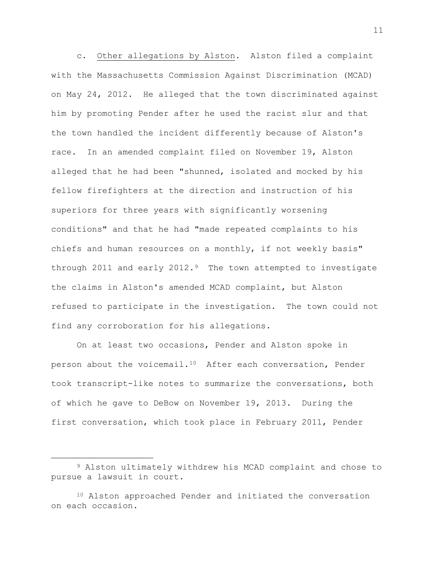c. Other allegations by Alston. Alston filed a complaint with the Massachusetts Commission Against Discrimination (MCAD) on May 24, 2012. He alleged that the town discriminated against him by promoting Pender after he used the racist slur and that the town handled the incident differently because of Alston's race. In an amended complaint filed on November 19, Alston alleged that he had been "shunned, isolated and mocked by his fellow firefighters at the direction and instruction of his superiors for three years with significantly worsening conditions" and that he had "made repeated complaints to his chiefs and human resources on a monthly, if not weekly basis" through 2011 and early 2012. $9$  The town attempted to investigate the claims in Alston's amended MCAD complaint, but Alston refused to participate in the investigation. The town could not find any corroboration for his allegations.

On at least two occasions, Pender and Alston spoke in person about the voicemail.[10](#page-10-1) After each conversation, Pender took transcript-like notes to summarize the conversations, both of which he gave to DeBow on November 19, 2013. During the first conversation, which took place in February 2011, Pender

<span id="page-10-0"></span><sup>9</sup> Alston ultimately withdrew his MCAD complaint and chose to pursue a lawsuit in court.

<span id="page-10-1"></span><sup>10</sup> Alston approached Pender and initiated the conversation on each occasion.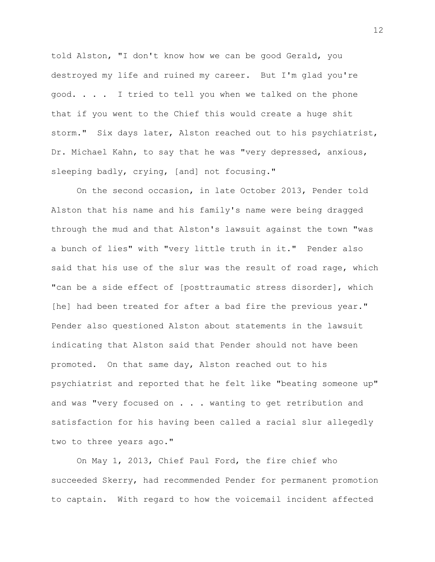told Alston, "I don't know how we can be good Gerald, you destroyed my life and ruined my career. But I'm glad you're good. . . . I tried to tell you when we talked on the phone that if you went to the Chief this would create a huge shit storm." Six days later, Alston reached out to his psychiatrist, Dr. Michael Kahn, to say that he was "very depressed, anxious, sleeping badly, crying, [and] not focusing."

On the second occasion, in late October 2013, Pender told Alston that his name and his family's name were being dragged through the mud and that Alston's lawsuit against the town "was a bunch of lies" with "very little truth in it." Pender also said that his use of the slur was the result of road rage, which "can be a side effect of [posttraumatic stress disorder], which [he] had been treated for after a bad fire the previous year." Pender also questioned Alston about statements in the lawsuit indicating that Alston said that Pender should not have been promoted. On that same day, Alston reached out to his psychiatrist and reported that he felt like "beating someone up" and was "very focused on . . . wanting to get retribution and satisfaction for his having been called a racial slur allegedly two to three years ago."

On May 1, 2013, Chief Paul Ford, the fire chief who succeeded Skerry, had recommended Pender for permanent promotion to captain. With regard to how the voicemail incident affected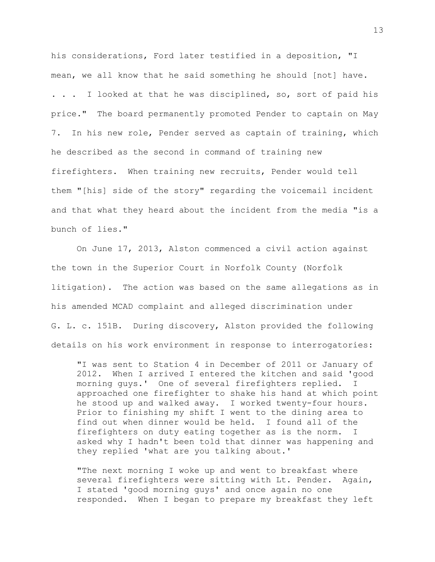his considerations, Ford later testified in a deposition, "I mean, we all know that he said something he should [not] have. . . . I looked at that he was disciplined, so, sort of paid his price." The board permanently promoted Pender to captain on May 7. In his new role, Pender served as captain of training, which he described as the second in command of training new firefighters. When training new recruits, Pender would tell them "[his] side of the story" regarding the voicemail incident and that what they heard about the incident from the media "is a bunch of lies."

On June 17, 2013, Alston commenced a civil action against the town in the Superior Court in Norfolk County (Norfolk litigation). The action was based on the same allegations as in his amended MCAD complaint and alleged discrimination under G. L. c. 151B. During discovery, Alston provided the following details on his work environment in response to interrogatories:

"I was sent to Station 4 in December of 2011 or January of 2012. When I arrived I entered the kitchen and said 'good morning guys.' One of several firefighters replied. I approached one firefighter to shake his hand at which point he stood up and walked away. I worked twenty-four hours. Prior to finishing my shift I went to the dining area to find out when dinner would be held. I found all of the firefighters on duty eating together as is the norm. I asked why I hadn't been told that dinner was happening and they replied 'what are you talking about.'

"The next morning I woke up and went to breakfast where several firefighters were sitting with Lt. Pender. Again, I stated 'good morning guys' and once again no one responded. When I began to prepare my breakfast they left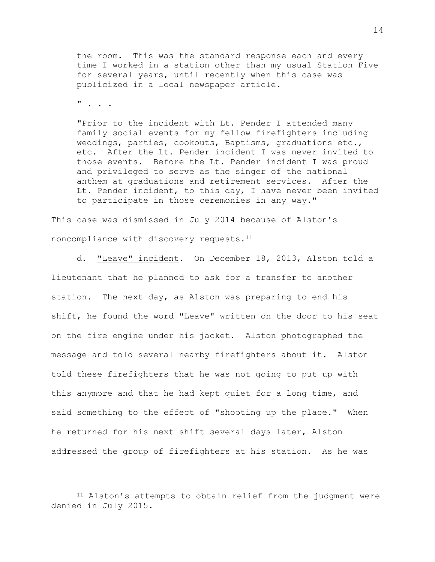the room. This was the standard response each and every time I worked in a station other than my usual Station Five for several years, until recently when this case was publicized in a local newspaper article.

 $"$  . . .

"Prior to the incident with Lt. Pender I attended many family social events for my fellow firefighters including weddings, parties, cookouts, Baptisms, graduations etc., etc. After the Lt. Pender incident I was never invited to those events. Before the Lt. Pender incident I was proud and privileged to serve as the singer of the national anthem at graduations and retirement services. After the Lt. Pender incident, to this day, I have never been invited to participate in those ceremonies in any way."

This case was dismissed in July 2014 because of Alston's noncompliance with discovery requests.[11](#page-13-0)

d. "Leave" incident. On December 18, 2013, Alston told a lieutenant that he planned to ask for a transfer to another station. The next day, as Alston was preparing to end his shift, he found the word "Leave" written on the door to his seat on the fire engine under his jacket. Alston photographed the message and told several nearby firefighters about it. Alston told these firefighters that he was not going to put up with this anymore and that he had kept quiet for a long time, and said something to the effect of "shooting up the place." When he returned for his next shift several days later, Alston addressed the group of firefighters at his station. As he was

<span id="page-13-0"></span><sup>11</sup> Alston's attempts to obtain relief from the judgment were denied in July 2015.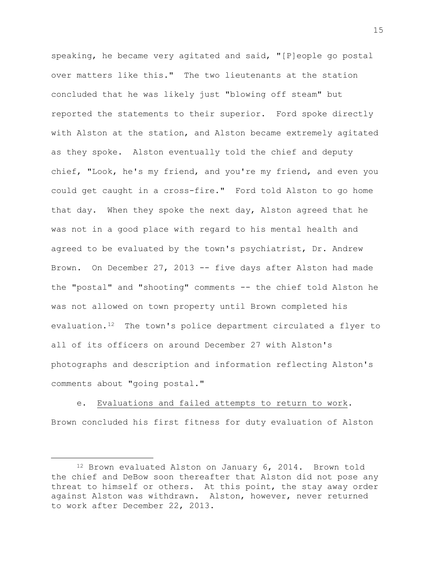speaking, he became very agitated and said, "[P]eople go postal over matters like this." The two lieutenants at the station concluded that he was likely just "blowing off steam" but reported the statements to their superior. Ford spoke directly with Alston at the station, and Alston became extremely agitated as they spoke. Alston eventually told the chief and deputy chief, "Look, he's my friend, and you're my friend, and even you could get caught in a cross-fire." Ford told Alston to go home that day. When they spoke the next day, Alston agreed that he was not in a good place with regard to his mental health and agreed to be evaluated by the town's psychiatrist, Dr. Andrew Brown. On December 27, 2013 -- five days after Alston had made the "postal" and "shooting" comments -- the chief told Alston he was not allowed on town property until Brown completed his evaluation.[12](#page-14-0) The town's police department circulated a flyer to all of its officers on around December 27 with Alston's photographs and description and information reflecting Alston's comments about "going postal."

e. Evaluations and failed attempts to return to work. Brown concluded his first fitness for duty evaluation of Alston

<span id="page-14-0"></span><sup>12</sup> Brown evaluated Alston on January 6, 2014. Brown told the chief and DeBow soon thereafter that Alston did not pose any threat to himself or others. At this point, the stay away order against Alston was withdrawn. Alston, however, never returned to work after December 22, 2013.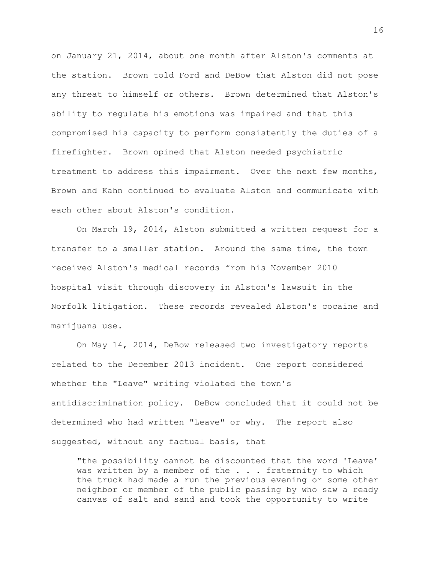on January 21, 2014, about one month after Alston's comments at the station. Brown told Ford and DeBow that Alston did not pose any threat to himself or others. Brown determined that Alston's ability to regulate his emotions was impaired and that this compromised his capacity to perform consistently the duties of a firefighter. Brown opined that Alston needed psychiatric treatment to address this impairment. Over the next few months, Brown and Kahn continued to evaluate Alston and communicate with each other about Alston's condition.

On March 19, 2014, Alston submitted a written request for a transfer to a smaller station. Around the same time, the town received Alston's medical records from his November 2010 hospital visit through discovery in Alston's lawsuit in the Norfolk litigation. These records revealed Alston's cocaine and marijuana use.

On May 14, 2014, DeBow released two investigatory reports related to the December 2013 incident. One report considered whether the "Leave" writing violated the town's antidiscrimination policy. DeBow concluded that it could not be determined who had written "Leave" or why. The report also suggested, without any factual basis, that

"the possibility cannot be discounted that the word 'Leave' was written by a member of the  $\ldots$ . fraternity to which the truck had made a run the previous evening or some other neighbor or member of the public passing by who saw a ready canvas of salt and sand and took the opportunity to write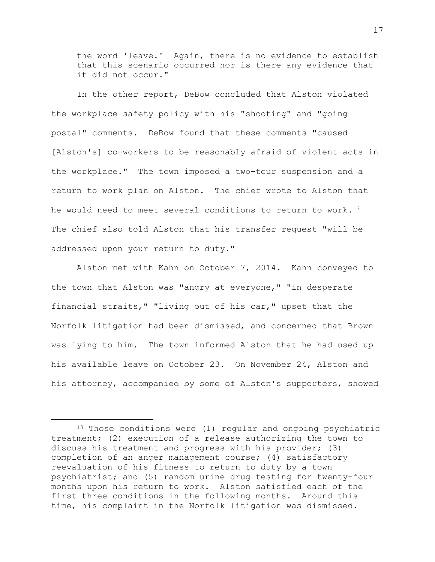the word 'leave.' Again, there is no evidence to establish that this scenario occurred nor is there any evidence that it did not occur."

In the other report, DeBow concluded that Alston violated the workplace safety policy with his "shooting" and "going postal" comments. DeBow found that these comments "caused [Alston's] co-workers to be reasonably afraid of violent acts in the workplace." The town imposed a two-tour suspension and a return to work plan on Alston. The chief wrote to Alston that he would need to meet several conditions to return to work.<sup>13</sup> The chief also told Alston that his transfer request "will be addressed upon your return to duty."

Alston met with Kahn on October 7, 2014. Kahn conveyed to the town that Alston was "angry at everyone," "in desperate financial straits," "living out of his car," upset that the Norfolk litigation had been dismissed, and concerned that Brown was lying to him. The town informed Alston that he had used up his available leave on October 23. On November 24, Alston and his attorney, accompanied by some of Alston's supporters, showed

<span id="page-16-0"></span><sup>&</sup>lt;sup>13</sup> Those conditions were (1) regular and ongoing psychiatric treatment; (2) execution of a release authorizing the town to discuss his treatment and progress with his provider; (3) completion of an anger management course; (4) satisfactory reevaluation of his fitness to return to duty by a town psychiatrist; and (5) random urine drug testing for twenty-four months upon his return to work. Alston satisfied each of the first three conditions in the following months. Around this time, his complaint in the Norfolk litigation was dismissed.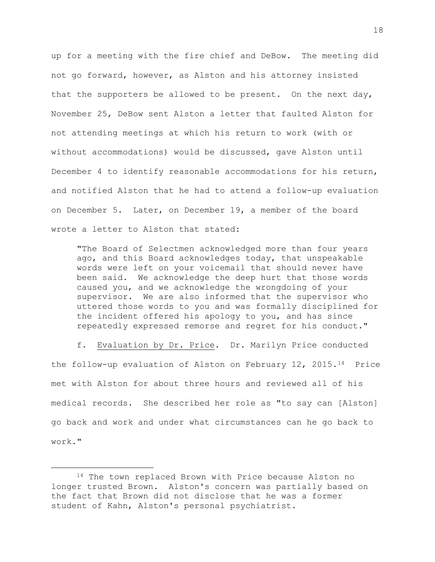up for a meeting with the fire chief and DeBow. The meeting did not go forward, however, as Alston and his attorney insisted that the supporters be allowed to be present. On the next day, November 25, DeBow sent Alston a letter that faulted Alston for not attending meetings at which his return to work (with or without accommodations) would be discussed, gave Alston until December 4 to identify reasonable accommodations for his return, and notified Alston that he had to attend a follow-up evaluation on December 5. Later, on December 19, a member of the board wrote a letter to Alston that stated:

"The Board of Selectmen acknowledged more than four years ago, and this Board acknowledges today, that unspeakable words were left on your voicemail that should never have been said. We acknowledge the deep hurt that those words caused you, and we acknowledge the wrongdoing of your supervisor. We are also informed that the supervisor who uttered those words to you and was formally disciplined for the incident offered his apology to you, and has since repeatedly expressed remorse and regret for his conduct."

f. Evaluation by Dr. Price. Dr. Marilyn Price conducted the follow-up evaluation of Alston on February 12, 2015.[14](#page-17-0) Price met with Alston for about three hours and reviewed all of his medical records. She described her role as "to say can [Alston] go back and work and under what circumstances can he go back to work."

<span id="page-17-0"></span><sup>14</sup> The town replaced Brown with Price because Alston no longer trusted Brown. Alston's concern was partially based on the fact that Brown did not disclose that he was a former student of Kahn, Alston's personal psychiatrist.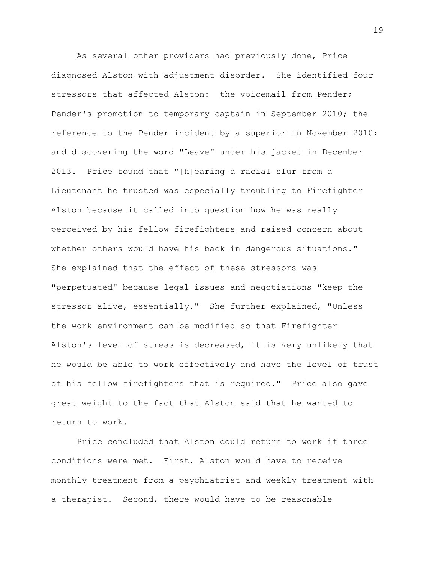As several other providers had previously done, Price diagnosed Alston with adjustment disorder. She identified four stressors that affected Alston: the voicemail from Pender; Pender's promotion to temporary captain in September 2010; the reference to the Pender incident by a superior in November 2010; and discovering the word "Leave" under his jacket in December 2013. Price found that "[h]earing a racial slur from a Lieutenant he trusted was especially troubling to Firefighter Alston because it called into question how he was really perceived by his fellow firefighters and raised concern about whether others would have his back in dangerous situations." She explained that the effect of these stressors was "perpetuated" because legal issues and negotiations "keep the stressor alive, essentially." She further explained, "Unless the work environment can be modified so that Firefighter Alston's level of stress is decreased, it is very unlikely that he would be able to work effectively and have the level of trust of his fellow firefighters that is required." Price also gave great weight to the fact that Alston said that he wanted to return to work.

Price concluded that Alston could return to work if three conditions were met. First, Alston would have to receive monthly treatment from a psychiatrist and weekly treatment with a therapist. Second, there would have to be reasonable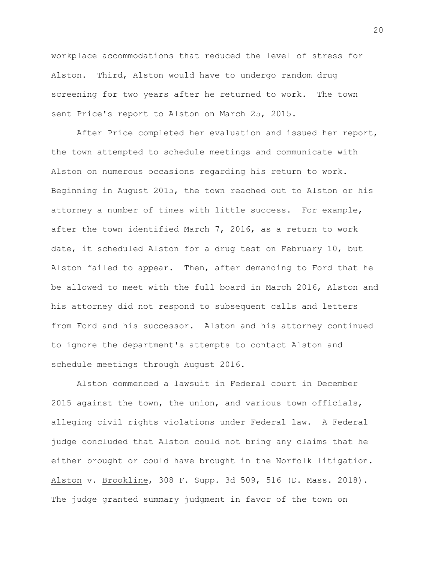workplace accommodations that reduced the level of stress for Alston. Third, Alston would have to undergo random drug screening for two years after he returned to work. The town sent Price's report to Alston on March 25, 2015.

After Price completed her evaluation and issued her report, the town attempted to schedule meetings and communicate with Alston on numerous occasions regarding his return to work. Beginning in August 2015, the town reached out to Alston or his attorney a number of times with little success. For example, after the town identified March 7, 2016, as a return to work date, it scheduled Alston for a drug test on February 10, but Alston failed to appear. Then, after demanding to Ford that he be allowed to meet with the full board in March 2016, Alston and his attorney did not respond to subsequent calls and letters from Ford and his successor. Alston and his attorney continued to ignore the department's attempts to contact Alston and schedule meetings through August 2016.

Alston commenced a lawsuit in Federal court in December 2015 against the town, the union, and various town officials, alleging civil rights violations under Federal law. A Federal judge concluded that Alston could not bring any claims that he either brought or could have brought in the Norfolk litigation. Alston v. Brookline, 308 F. Supp. 3d 509, 516 (D. Mass. 2018). The judge granted summary judgment in favor of the town on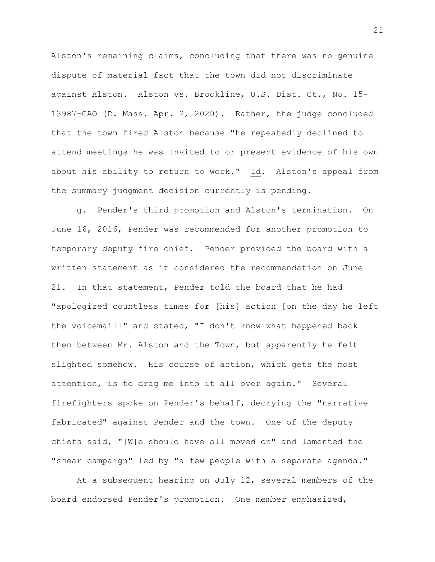Alston's remaining claims, concluding that there was no genuine dispute of material fact that the town did not discriminate against Alston. Alston vs. Brookline, U.S. Dist. Ct., No. 15- 13987-GAO (D. Mass. Apr. 2, 2020). Rather, the judge concluded that the town fired Alston because "he repeatedly declined to attend meetings he was invited to or present evidence of his own about his ability to return to work." Id. Alston's appeal from the summary judgment decision currently is pending.

g. Pender's third promotion and Alston's termination. On June 16, 2016, Pender was recommended for another promotion to temporary deputy fire chief. Pender provided the board with a written statement as it considered the recommendation on June 21. In that statement, Pender told the board that he had "apologized countless times for [his] action [on the day he left the voicemail]" and stated, "I don't know what happened back then between Mr. Alston and the Town, but apparently he felt slighted somehow. His course of action, which gets the most attention, is to drag me into it all over again." Several firefighters spoke on Pender's behalf, decrying the "narrative fabricated" against Pender and the town. One of the deputy chiefs said, "[W]e should have all moved on" and lamented the "smear campaign" led by "a few people with a separate agenda."

At a subsequent hearing on July 12, several members of the board endorsed Pender's promotion. One member emphasized,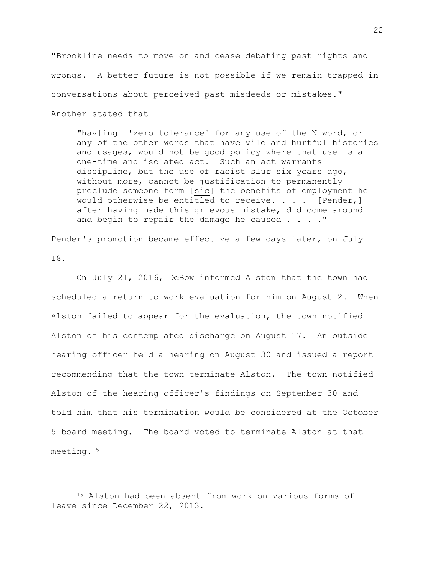"Brookline needs to move on and cease debating past rights and wrongs. A better future is not possible if we remain trapped in conversations about perceived past misdeeds or mistakes." Another stated that

"hav[ing] 'zero tolerance' for any use of the N word, or any of the other words that have vile and hurtful histories and usages, would not be good policy where that use is a one-time and isolated act. Such an act warrants discipline, but the use of racist slur six years ago, without more, cannot be justification to permanently preclude someone form [sic] the benefits of employment he would otherwise be entitled to receive. . . . [Pender,] after having made this grievous mistake, did come around and begin to repair the damage he caused . . . . "

Pender's promotion became effective a few days later, on July 18.

On July 21, 2016, DeBow informed Alston that the town had scheduled a return to work evaluation for him on August 2. When Alston failed to appear for the evaluation, the town notified Alston of his contemplated discharge on August 17. An outside hearing officer held a hearing on August 30 and issued a report recommending that the town terminate Alston. The town notified Alston of the hearing officer's findings on September 30 and told him that his termination would be considered at the October 5 board meeting. The board voted to terminate Alston at that meeting.[15](#page-21-0)

<span id="page-21-0"></span><sup>15</sup> Alston had been absent from work on various forms of leave since December 22, 2013.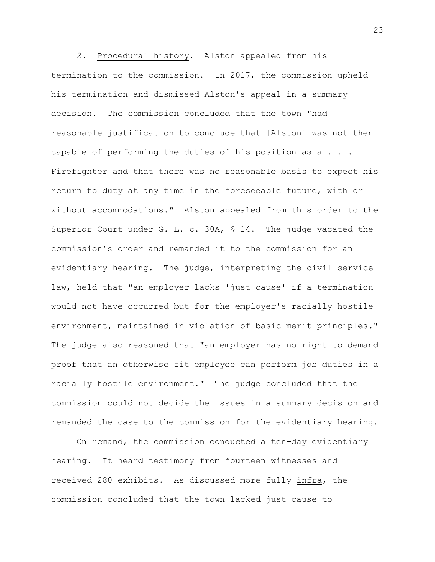2. Procedural history. Alston appealed from his termination to the commission. In 2017, the commission upheld his termination and dismissed Alston's appeal in a summary decision. The commission concluded that the town "had reasonable justification to conclude that [Alston] was not then capable of performing the duties of his position as a . . . Firefighter and that there was no reasonable basis to expect his return to duty at any time in the foreseeable future, with or without accommodations." Alston appealed from this order to the Superior Court under G. L. c. 30A, § 14. The judge vacated the commission's order and remanded it to the commission for an evidentiary hearing. The judge, interpreting the civil service law, held that "an employer lacks 'just cause' if a termination would not have occurred but for the employer's racially hostile environment, maintained in violation of basic merit principles." The judge also reasoned that "an employer has no right to demand proof that an otherwise fit employee can perform job duties in a racially hostile environment." The judge concluded that the commission could not decide the issues in a summary decision and remanded the case to the commission for the evidentiary hearing.

On remand, the commission conducted a ten-day evidentiary hearing**.** It heard testimony from fourteen witnesses and received 280 exhibits. As discussed more fully infra, the commission concluded that the town lacked just cause to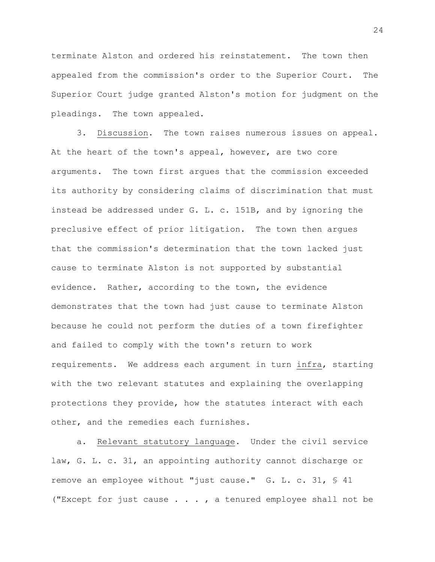terminate Alston and ordered his reinstatement. The town then appealed from the commission's order to the Superior Court. The Superior Court judge granted Alston's motion for judgment on the pleadings. The town appealed.

3. Discussion. The town raises numerous issues on appeal. At the heart of the town's appeal, however, are two core arguments. The town first argues that the commission exceeded its authority by considering claims of discrimination that must instead be addressed under G. L. c. 151B, and by ignoring the preclusive effect of prior litigation. The town then argues that the commission's determination that the town lacked just cause to terminate Alston is not supported by substantial evidence. Rather, according to the town, the evidence demonstrates that the town had just cause to terminate Alston because he could not perform the duties of a town firefighter and failed to comply with the town's return to work requirements. We address each argument in turn infra, starting with the two relevant statutes and explaining the overlapping protections they provide, how the statutes interact with each other, and the remedies each furnishes.

a. Relevant statutory language. Under the civil service law, G. L. c. 31, an appointing authority cannot discharge or remove an employee without "just cause." G. L. c. 31, § 41 ("Except for just cause . . . , a tenured employee shall not be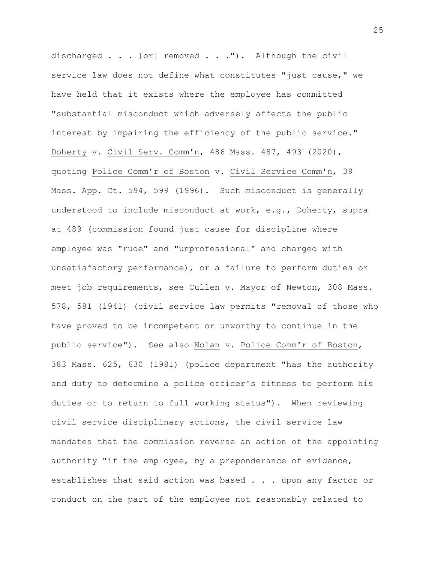discharged . . . [or] removed . . ."). Although the civil service law does not define what constitutes "just cause," we have held that it exists where the employee has committed "substantial misconduct which adversely affects the public interest by impairing the efficiency of the public service." Doherty v. Civil Serv. Comm'n, 486 Mass. 487, 493 (2020), quoting Police Comm'r of Boston v. Civil Service Comm'n, 39 Mass. App. Ct. 594, 599 (1996). Such misconduct is generally understood to include misconduct at work, e.g., Doherty, supra at 489 (commission found just cause for discipline where employee was "rude" and "unprofessional" and charged with unsatisfactory performance), or a failure to perform duties or meet job requirements, see Cullen v. Mayor of Newton, 308 Mass. 578, 581 (1941) (civil service law permits "removal of those who have proved to be incompetent or unworthy to continue in the public service"). See also Nolan v. Police Comm'r of Boston, 383 Mass. 625, 630 (1981) (police department "has the authority and duty to determine a police officer's fitness to perform his duties or to return to full working status"). When reviewing civil service disciplinary actions, the civil service law mandates that the commission reverse an action of the appointing authority "if the employee, by a preponderance of evidence, establishes that said action was based . . . upon any factor or conduct on the part of the employee not reasonably related to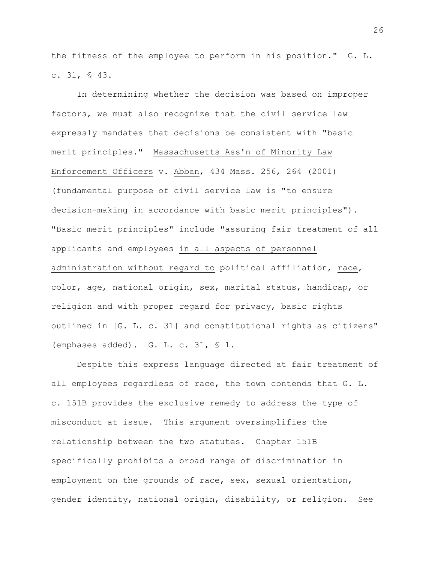the fitness of the employee to perform in his position." G. L. c. 31, § 43.

In determining whether the decision was based on improper factors, we must also recognize that the civil service law expressly mandates that decisions be consistent with "basic merit principles." Massachusetts Ass'n of Minority Law Enforcement Officers v. Abban, 434 Mass. 256, 264 (2001) (fundamental purpose of civil service law is "to ensure decision-making in accordance with basic merit principles"). "Basic merit principles" include "assuring fair treatment of all applicants and employees in all aspects of personnel administration without regard to political affiliation, race, color, age, national origin, sex, marital status, handicap, or religion and with proper regard for privacy, basic rights outlined in [G. L. c. 31] and constitutional rights as citizens" (emphases added). G. L. c. 31, § 1.

Despite this express language directed at fair treatment of all employees regardless of race, the town contends that G. L. c. 151B provides the exclusive remedy to address the type of misconduct at issue. This argument oversimplifies the relationship between the two statutes. Chapter 151B specifically prohibits a broad range of discrimination in employment on the grounds of race, sex, sexual orientation, gender identity, national origin, disability, or religion. See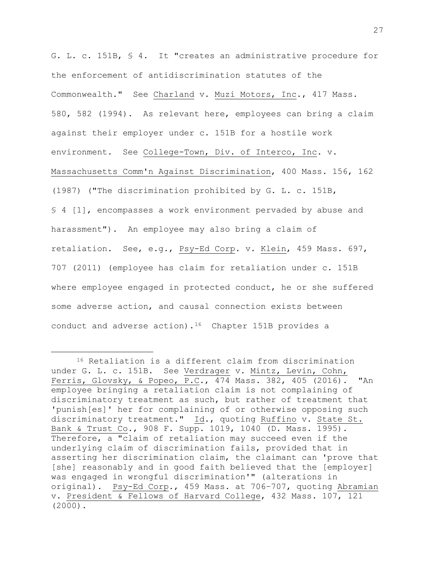G. L. c. 151B, § 4. It "creates an administrative procedure for the enforcement of antidiscrimination statutes of the Commonwealth." See Charland v. Muzi Motors, Inc., 417 Mass. 580, 582 (1994). As relevant here, employees can bring a claim against their employer under c. 151B for a hostile work environment. See College-Town, Div. of Interco, Inc. v. Massachusetts Comm'n Against Discrimination, 400 Mass. 156, 162 (1987) ("The discrimination prohibited by G. L. c. 151B, § 4 [1], encompasses a work environment pervaded by abuse and harassment"). An employee may also bring a claim of retaliation. See, e.g., Psy-Ed Corp. v. Klein, 459 Mass. 697, 707 (2011) (employee has claim for retaliation under c. 151B where employee engaged in protected conduct, he or she suffered some adverse action, and causal connection exists between conduct and adverse action).[16](#page-26-0) Chapter 151B provides a

<span id="page-26-0"></span><sup>16</sup> Retaliation is a different claim from discrimination under G. L. c. 151B. See Verdrager v. Mintz, Levin, Cohn, Ferris, Glovsky, & Popeo, P.C., 474 Mass. 382, 405 (2016). "An employee bringing a retaliation claim is not complaining of discriminatory treatment as such, but rather of treatment that 'punish[es]' her for complaining of or otherwise opposing such discriminatory treatment." Id., quoting Ruffino v. State St. Bank & Trust Co., 908 F. Supp. 1019, 1040 (D. Mass. 1995). Therefore, a "claim of retaliation may succeed even if the underlying claim of discrimination fails, provided that in asserting her discrimination claim, the claimant can 'prove that [she] reasonably and in good faith believed that the [employer] was engaged in wrongful discrimination'" (alterations in original). Psy-Ed Corp., 459 Mass. at 706–707, quoting Abramian v. President & Fellows of Harvard College, 432 Mass. 107, 121  $(2000)$ .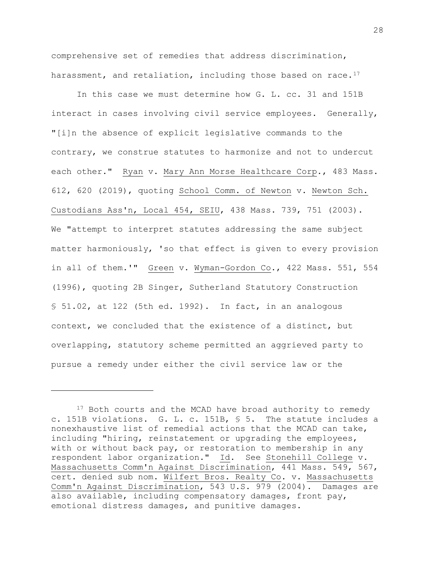comprehensive set of remedies that address discrimination, harassment, and retaliation, including those based on race.<sup>[17](#page-27-0)</sup>

In this case we must determine how G. L. cc. 31 and 151B interact in cases involving civil service employees. Generally, "[i]n the absence of explicit legislative commands to the contrary, we construe statutes to harmonize and not to undercut each other." Ryan v. Mary Ann Morse Healthcare Corp., 483 Mass. 612, 620 (2019), quoting School Comm. of Newton v. Newton Sch. Custodians Ass'n, Local 454, SEIU, 438 Mass. 739, 751 (2003). We "attempt to interpret statutes addressing the same subject matter harmoniously, 'so that effect is given to every provision in all of them.'" Green v. Wyman-Gordon Co., 422 Mass. 551, 554 (1996), quoting 2B Singer, Sutherland Statutory Construction § 51.02, at 122 (5th ed. 1992). In fact, in an analogous context, we concluded that the existence of a distinct, but overlapping, statutory scheme permitted an aggrieved party to pursue a remedy under either the civil service law or the

<span id="page-27-0"></span><sup>&</sup>lt;sup>17</sup> Both courts and the MCAD have broad authority to remedy c. 151B violations. G. L. c. 151B, § 5. The statute includes a nonexhaustive list of remedial actions that the MCAD can take, including "hiring, reinstatement or upgrading the employees, with or without back pay, or restoration to membership in any respondent labor organization." Id. See Stonehill College v. Massachusetts Comm'n Against Discrimination, 441 Mass. 549, 567, cert. denied sub nom. Wilfert Bros. Realty Co. v. Massachusetts Comm'n Against Discrimination, 543 U.S. 979 (2004). Damages are also available, including compensatory damages, front pay, emotional distress damages, and punitive damages.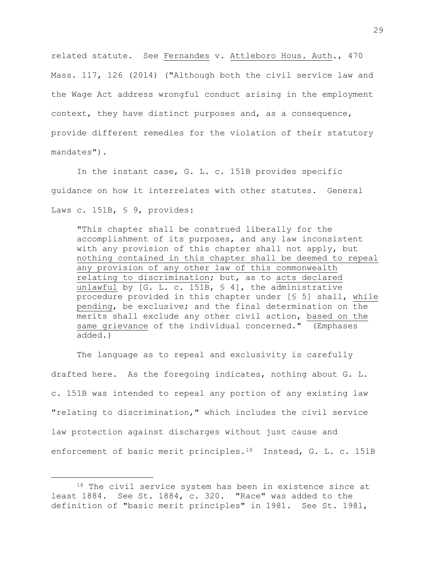related statute. See Fernandes v. Attleboro Hous. Auth., 470 Mass. 117, 126 (2014) ("Although both the civil service law and the Wage Act address wrongful conduct arising in the employment context, they have distinct purposes and, as a consequence, provide different remedies for the violation of their statutory mandates").

In the instant case, G. L. c. 151B provides specific guidance on how it interrelates with other statutes. General Laws c. 151B, § 9, provides:

"This chapter shall be construed liberally for the accomplishment of its purposes, and any law inconsistent with any provision of this chapter shall not apply, but nothing contained in this chapter shall be deemed to repeal any provision of any other law of this commonwealth relating to discrimination; but, as to acts declared unlawful by [G. L. c. 151B, § 4], the administrative procedure provided in this chapter under [§ 5] shall, while pending, be exclusive; and the final determination on the merits shall exclude any other civil action, based on the same grievance of the individual concerned." (Emphases added.)

The language as to repeal and exclusivity is carefully drafted here. As the foregoing indicates, nothing about G. L. c. 151B was intended to repeal any portion of any existing law "relating to discrimination," which includes the civil service law protection against discharges without just cause and enforcement of basic merit principles.<sup>[18](#page-28-0)</sup> Instead, G. L. c. 151B

<span id="page-28-0"></span><sup>&</sup>lt;sup>18</sup> The civil service system has been in existence since at least 1884. See St. 1884, c. 320. "Race" was added to the definition of "basic merit principles" in 1981. See St. 1981,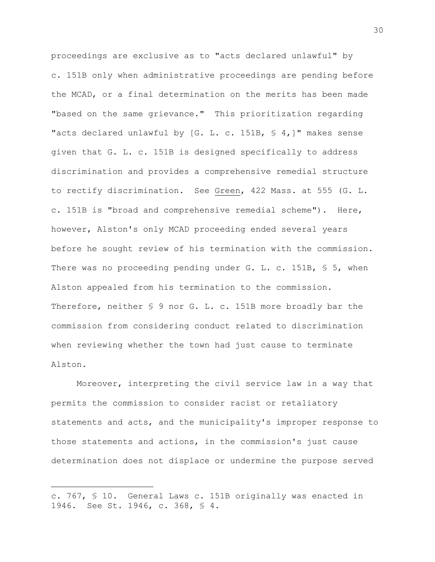proceedings are exclusive as to "acts declared unlawful" by c. 151B only when administrative proceedings are pending before the MCAD, or a final determination on the merits has been made "based on the same grievance." This prioritization regarding "acts declared unlawful by [G. L. c. 151B, § 4,]" makes sense given that G. L. c. 151B is designed specifically to address discrimination and provides a comprehensive remedial structure to rectify discrimination. See Green, 422 Mass. at 555 (G. L. c. 151B is "broad and comprehensive remedial scheme"). Here, however, Alston's only MCAD proceeding ended several years before he sought review of his termination with the commission. There was no proceeding pending under G. L. c. 151B, § 5, when Alston appealed from his termination to the commission. Therefore, neither \$ 9 nor G. L. c. 151B more broadly bar the commission from considering conduct related to discrimination when reviewing whether the town had just cause to terminate Alston.

Moreover, interpreting the civil service law in a way that permits the commission to consider racist or retaliatory statements and acts, and the municipality's improper response to those statements and actions, in the commission's just cause determination does not displace or undermine the purpose served

c. 767, § 10. General Laws c. 151B originally was enacted in 1946. See St. 1946, c. 368, § 4.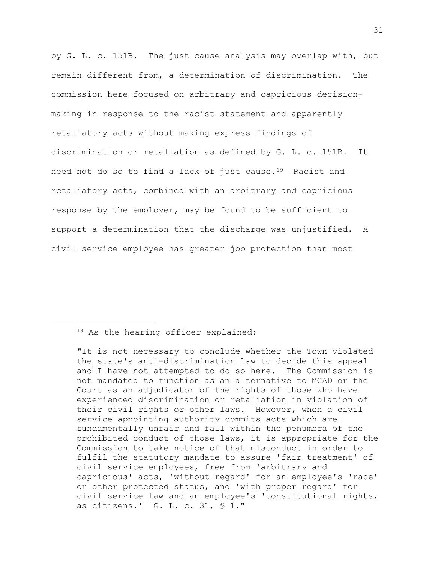by G. L. c. 151B. The just cause analysis may overlap with, but remain different from, a determination of discrimination. The commission here focused on arbitrary and capricious decisionmaking in response to the racist statement and apparently retaliatory acts without making express findings of discrimination or retaliation as defined by G. L. c. 151B. It need not do so to find a lack of just cause.<sup>19</sup> Racist and retaliatory acts, combined with an arbitrary and capricious response by the employer, may be found to be sufficient to support a determination that the discharge was unjustified. A civil service employee has greater job protection than most

## <span id="page-30-0"></span><sup>19</sup> As the hearing officer explained:

"It is not necessary to conclude whether the Town violated the state's anti-discrimination law to decide this appeal and I have not attempted to do so here. The Commission is not mandated to function as an alternative to MCAD or the Court as an adjudicator of the rights of those who have experienced discrimination or retaliation in violation of their civil rights or other laws. However, when a civil service appointing authority commits acts which are fundamentally unfair and fall within the penumbra of the prohibited conduct of those laws, it is appropriate for the Commission to take notice of that misconduct in order to fulfil the statutory mandate to assure 'fair treatment' of civil service employees, free from 'arbitrary and capricious' acts, 'without regard' for an employee's 'race' or other protected status, and 'with proper regard' for civil service law and an employee's 'constitutional rights, as citizens.' G. L. c. 31, § 1."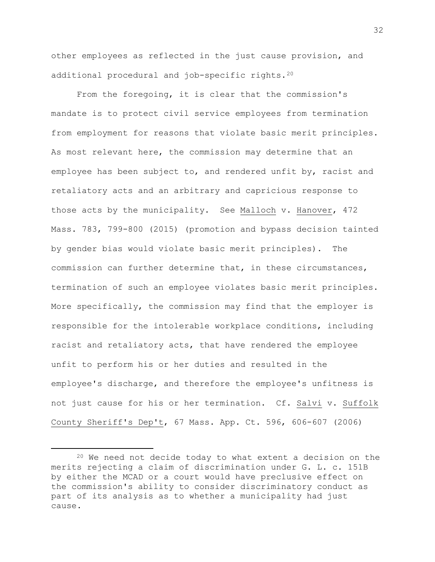other employees as reflected in the just cause provision, and additional procedural and job-specific rights.[20](#page-31-0)

From the foregoing, it is clear that the commission's mandate is to protect civil service employees from termination from employment for reasons that violate basic merit principles. As most relevant here, the commission may determine that an employee has been subject to, and rendered unfit by, racist and retaliatory acts and an arbitrary and capricious response to those acts by the municipality. See Malloch v. Hanover, 472 Mass. 783, 799-800 (2015) (promotion and bypass decision tainted by gender bias would violate basic merit principles). The commission can further determine that, in these circumstances, termination of such an employee violates basic merit principles. More specifically, the commission may find that the employer is responsible for the intolerable workplace conditions, including racist and retaliatory acts, that have rendered the employee unfit to perform his or her duties and resulted in the employee's discharge, and therefore the employee's unfitness is not just cause for his or her termination. Cf. Salvi v. Suffolk County Sheriff's Dep't, 67 Mass. App. Ct. 596, 606-607 (2006)

<span id="page-31-0"></span><sup>20</sup> We need not decide today to what extent a decision on the merits rejecting a claim of discrimination under G. L. c. 151B by either the MCAD or a court would have preclusive effect on the commission's ability to consider discriminatory conduct as part of its analysis as to whether a municipality had just cause.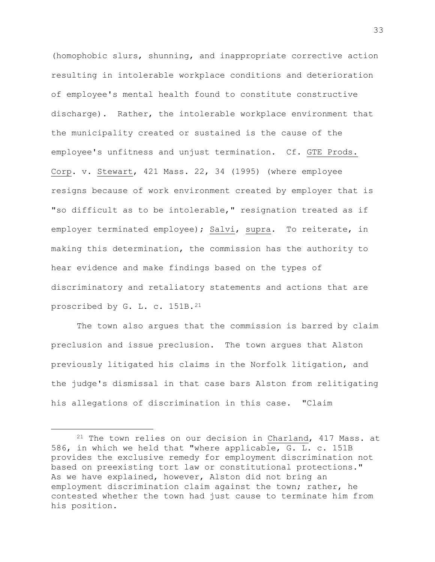(homophobic slurs, shunning, and inappropriate corrective action resulting in intolerable workplace conditions and deterioration of employee's mental health found to constitute constructive discharge). Rather, the intolerable workplace environment that the municipality created or sustained is the cause of the employee's unfitness and unjust termination. Cf. GTE Prods. Corp. v. Stewart, 421 Mass. 22, 34 (1995) (where employee resigns because of work environment created by employer that is "so difficult as to be intolerable," resignation treated as if employer terminated employee); Salvi, supra. To reiterate, in making this determination, the commission has the authority to hear evidence and make findings based on the types of discriminatory and retaliatory statements and actions that are proscribed by G. L. c. 151B.[21](#page-32-0)

The town also argues that the commission is barred by claim preclusion and issue preclusion. The town argues that Alston previously litigated his claims in the Norfolk litigation, and the judge's dismissal in that case bars Alston from relitigating his allegations of discrimination in this case. "Claim

<span id="page-32-0"></span><sup>&</sup>lt;sup>21</sup> The town relies on our decision in Charland, 417 Mass. at 586, in which we held that "where applicable, G. L. c. 151B provides the exclusive remedy for employment discrimination not based on preexisting tort law or constitutional protections." As we have explained, however, Alston did not bring an employment discrimination claim against the town; rather, he contested whether the town had just cause to terminate him from his position.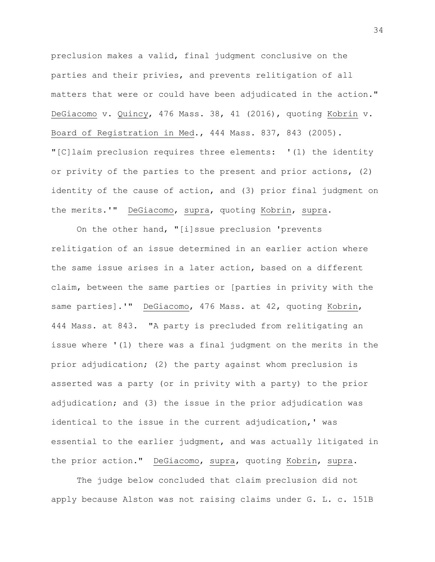preclusion makes a valid, final judgment conclusive on the parties and their privies, and prevents relitigation of all matters that were or could have been adjudicated in the action." DeGiacomo v. Quincy, 476 Mass. 38, 41 (2016), quoting Kobrin v. Board of Registration in Med., 444 Mass. 837, 843 (2005). "[C]laim preclusion requires three elements: '(1) the identity or privity of the parties to the present and prior actions, (2) identity of the cause of action, and (3) prior final judgment on the merits.'" DeGiacomo, supra, quoting Kobrin, supra.

On the other hand, "[i]ssue preclusion 'prevents relitigation of an issue determined in an earlier action where the same issue arises in a later action, based on a different claim, between the same parties or [parties in privity with the same parties].'" DeGiacomo, 476 Mass. at 42, quoting Kobrin, 444 Mass. at 843. "A party is precluded from relitigating an issue where '(1) there was a final judgment on the merits in the prior adjudication; (2) the party against whom preclusion is asserted was a party (or in privity with a party) to the prior adjudication; and (3) the issue in the prior adjudication was identical to the issue in the current adjudication,' was essential to the earlier judgment, and was actually litigated in the prior action." DeGiacomo, supra, quoting Kobrin, supra.

The judge below concluded that claim preclusion did not apply because Alston was not raising claims under G. L. c. 151B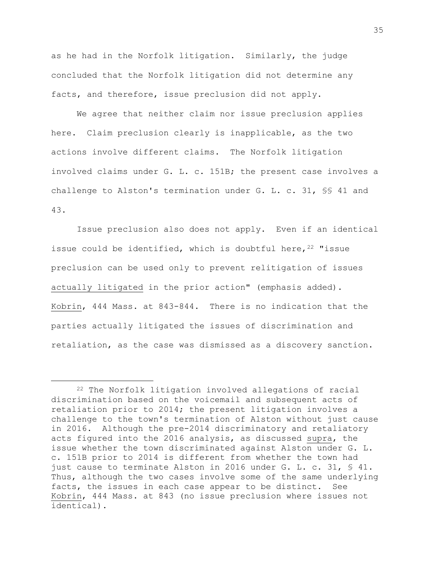as he had in the Norfolk litigation. Similarly, the judge concluded that the Norfolk litigation did not determine any facts, and therefore, issue preclusion did not apply.

We agree that neither claim nor issue preclusion applies here. Claim preclusion clearly is inapplicable, as the two actions involve different claims. The Norfolk litigation involved claims under G. L. c. 151B; the present case involves a challenge to Alston's termination under G. L. c. 31, §§ 41 and 43.

Issue preclusion also does not apply. Even if an identical issue could be identified, which is doubtful here,  $22$  "issue preclusion can be used only to prevent relitigation of issues actually litigated in the prior action" (emphasis added). Kobrin, 444 Mass. at 843-844. There is no indication that the parties actually litigated the issues of discrimination and retaliation, as the case was dismissed as a discovery sanction.

<span id="page-34-0"></span><sup>22</sup> The Norfolk litigation involved allegations of racial discrimination based on the voicemail and subsequent acts of retaliation prior to 2014; the present litigation involves a challenge to the town's termination of Alston without just cause in 2016. Although the pre-2014 discriminatory and retaliatory acts figured into the 2016 analysis, as discussed supra, the issue whether the town discriminated against Alston under G. L. c. 151B prior to 2014 is different from whether the town had just cause to terminate Alston in 2016 under G. L. c. 31, § 41. Thus, although the two cases involve some of the same underlying facts, the issues in each case appear to be distinct. See Kobrin, 444 Mass. at 843 (no issue preclusion where issues not identical).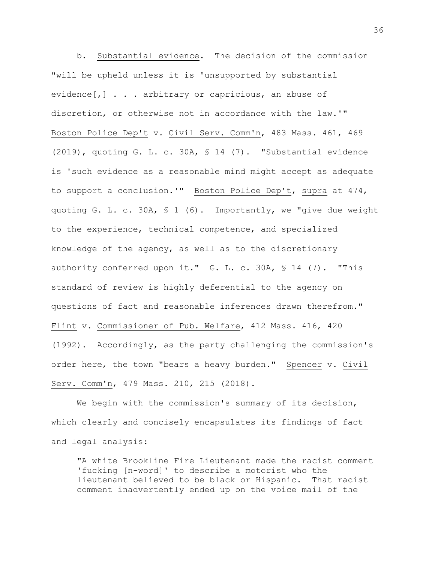b. Substantial evidence. The decision of the commission "will be upheld unless it is 'unsupported by substantial evidence[,] . . . arbitrary or capricious, an abuse of discretion, or otherwise not in accordance with the law.'" Boston Police Dep't v. Civil Serv. Comm'n, 483 Mass. 461, 469 (2019), quoting G. L. c. 30A, § 14 (7). "Substantial evidence is 'such evidence as a reasonable mind might accept as adequate to support a conclusion.'" Boston Police Dep't, supra at 474, quoting G. L. c. 30A, § 1 (6). Importantly, we "give due weight to the experience, technical competence, and specialized knowledge of the agency, as well as to the discretionary authority conferred upon it." G. L. c. 30A, § 14 (7). "This standard of review is highly deferential to the agency on questions of fact and reasonable inferences drawn therefrom." Flint v. Commissioner of Pub. Welfare, 412 Mass. 416, 420 (1992). Accordingly, as the party challenging the commission's order here, the town "bears a heavy burden." Spencer v. Civil Serv. Comm'n, 479 Mass. 210, 215 (2018).

We begin with the commission's summary of its decision, which clearly and concisely encapsulates its findings of fact and legal analysis:

"A white Brookline Fire Lieutenant made the racist comment 'fucking [n-word]' to describe a motorist who the lieutenant believed to be black or Hispanic. That racist comment inadvertently ended up on the voice mail of the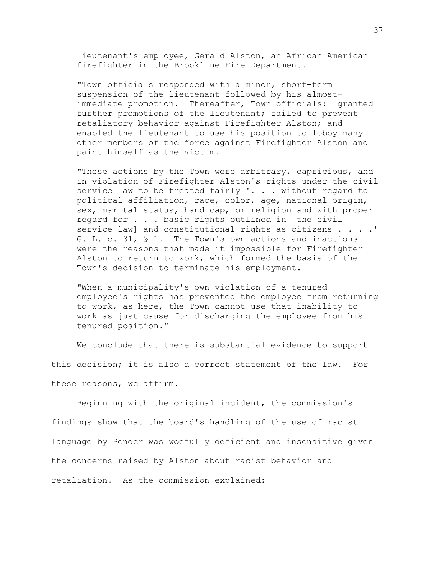lieutenant's employee, Gerald Alston, an African American firefighter in the Brookline Fire Department.

"Town officials responded with a minor, short-term suspension of the lieutenant followed by his almostimmediate promotion. Thereafter, Town officials: granted further promotions of the lieutenant; failed to prevent retaliatory behavior against Firefighter Alston; and enabled the lieutenant to use his position to lobby many other members of the force against Firefighter Alston and paint himself as the victim.

"These actions by the Town were arbitrary, capricious, and in violation of Firefighter Alston's rights under the civil service law to be treated fairly '. . . without regard to political affiliation, race, color, age, national origin, sex, marital status, handicap, or religion and with proper regard for . . . basic rights outlined in [the civil service law] and constitutional rights as citizens . . . .' G. L. c. 31, § 1. The Town's own actions and inactions were the reasons that made it impossible for Firefighter Alston to return to work, which formed the basis of the Town's decision to terminate his employment.

"When a municipality's own violation of a tenured employee's rights has prevented the employee from returning to work, as here, the Town cannot use that inability to work as just cause for discharging the employee from his tenured position."

We conclude that there is substantial evidence to support this decision; it is also a correct statement of the law. For these reasons, we affirm.

Beginning with the original incident, the commission's findings show that the board's handling of the use of racist language by Pender was woefully deficient and insensitive given the concerns raised by Alston about racist behavior and retaliation. As the commission explained: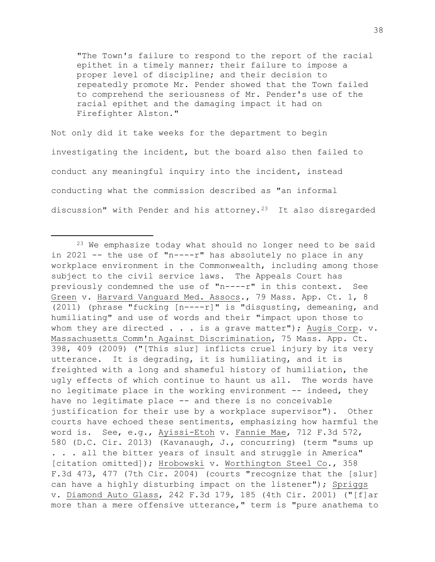"The Town's failure to respond to the report of the racial epithet in a timely manner; their failure to impose a proper level of discipline; and their decision to repeatedly promote Mr. Pender showed that the Town failed to comprehend the seriousness of Mr. Pender's use of the racial epithet and the damaging impact it had on Firefighter Alston."

Not only did it take weeks for the department to begin investigating the incident, but the board also then failed to conduct any meaningful inquiry into the incident, instead conducting what the commission described as "an informal discussion" with Pender and his attorney.[23](#page-37-0) It also disregarded

<span id="page-37-0"></span><sup>&</sup>lt;sup>23</sup> We emphasize today what should no longer need to be said in 2021 -- the use of "n----r" has absolutely no place in any workplace environment in the Commonwealth, including among those subject to the civil service laws. The Appeals Court has previously condemned the use of "n----r" in this context. See Green v. Harvard Vanguard Med. Assocs., 79 Mass. App. Ct. 1, 8 (2011) (phrase "fucking [n----r]" is "disgusting, demeaning, and humiliating" and use of words and their "impact upon those to whom they are directed  $\ldots$  is a grave matter"); Augis Corp. v. Massachusetts Comm'n Against Discrimination, 75 Mass. App. Ct. 398, 409 (2009) ("[This slur] inflicts cruel injury by its very utterance. It is degrading, it is humiliating, and it is freighted with a long and shameful history of humiliation, the ugly effects of which continue to haunt us all. The words have no legitimate place in the working environment -- indeed, they have no legitimate place -- and there is no conceivable justification for their use by a workplace supervisor"). Other courts have echoed these sentiments, emphasizing how harmful the word is. See, e.g., Ayissi-Etoh v. Fannie Mae, 712 F.3d 572, 580 (D.C. Cir. 2013) (Kavanaugh, J., concurring) (term "sums up . . . all the bitter years of insult and struggle in America" [citation omitted]); Hrobowski v. Worthington Steel Co., 358 F.3d 473, 477 (7th Cir. 2004) (courts "recognize that the [slur] can have a highly disturbing impact on the listener"); Spriggs v. Diamond Auto Glass, 242 F.3d 179, 185 (4th Cir. 2001) ("[f]ar more than a mere offensive utterance," term is "pure anathema to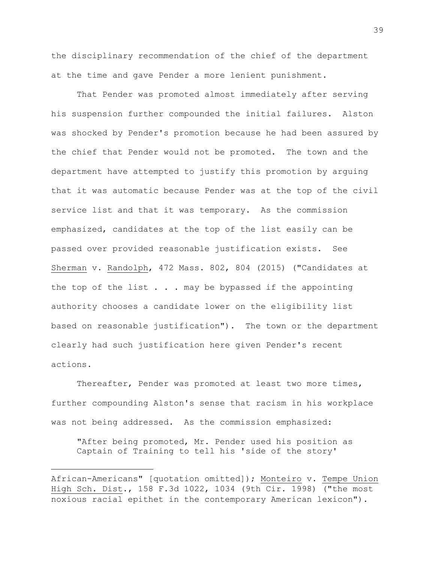the disciplinary recommendation of the chief of the department at the time and gave Pender a more lenient punishment.

That Pender was promoted almost immediately after serving his suspension further compounded the initial failures. Alston was shocked by Pender's promotion because he had been assured by the chief that Pender would not be promoted. The town and the department have attempted to justify this promotion by arguing that it was automatic because Pender was at the top of the civil service list and that it was temporary. As the commission emphasized, candidates at the top of the list easily can be passed over provided reasonable justification exists. See Sherman v. Randolph, 472 Mass. 802, 804 (2015) ("Candidates at the top of the list  $\ldots$  . may be bypassed if the appointing authority chooses a candidate lower on the eligibility list based on reasonable justification"). The town or the department clearly had such justification here given Pender's recent actions.

Thereafter, Pender was promoted at least two more times, further compounding Alston's sense that racism in his workplace was not being addressed. As the commission emphasized:

"After being promoted, Mr. Pender used his position as Captain of Training to tell his 'side of the story'

African-Americans" [quotation omitted]); Monteiro v. Tempe Union High Sch. Dist., 158 F.3d 1022, 1034 (9th Cir. 1998) ("the most noxious racial epithet in the contemporary American lexicon").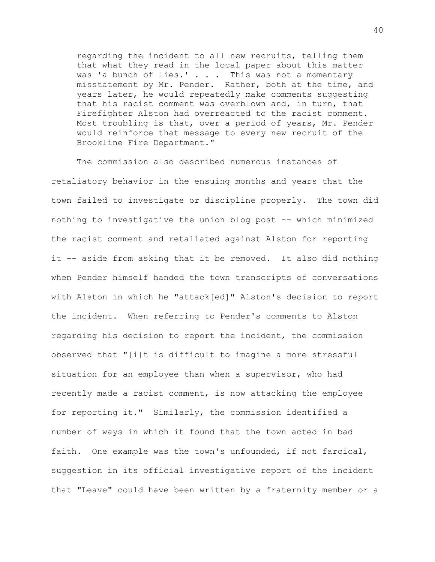regarding the incident to all new recruits, telling them that what they read in the local paper about this matter was 'a bunch of lies.' . . . This was not a momentary misstatement by Mr. Pender. Rather, both at the time, and years later, he would repeatedly make comments suggesting that his racist comment was overblown and, in turn, that Firefighter Alston had overreacted to the racist comment. Most troubling is that, over a period of years, Mr. Pender would reinforce that message to every new recruit of the Brookline Fire Department."

The commission also described numerous instances of retaliatory behavior in the ensuing months and years that the town failed to investigate or discipline properly. The town did nothing to investigative the union blog post -- which minimized the racist comment and retaliated against Alston for reporting it -- aside from asking that it be removed. It also did nothing when Pender himself handed the town transcripts of conversations with Alston in which he "attack[ed]" Alston's decision to report the incident. When referring to Pender's comments to Alston regarding his decision to report the incident, the commission observed that "[i]t is difficult to imagine a more stressful situation for an employee than when a supervisor, who had recently made a racist comment, is now attacking the employee for reporting it." Similarly, the commission identified a number of ways in which it found that the town acted in bad faith. One example was the town's unfounded, if not farcical, suggestion in its official investigative report of the incident that "Leave" could have been written by a fraternity member or a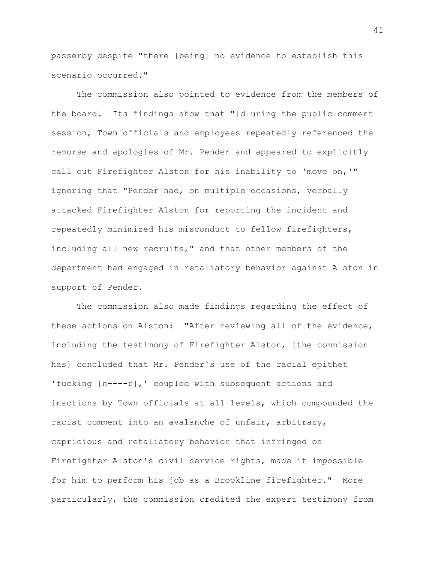passerby despite "there [being] no evidence to establish this scenario occurred."

The commission also pointed to evidence from the members of the board. Its findings show that "[d]uring the public comment session, Town officials and employees repeatedly referenced the remorse and apologies of Mr. Pender and appeared to explicitly call out Firefighter Alston for his inability to 'move on,'" ignoring that "Pender had, on multiple occasions, verbally attacked Firefighter Alston for reporting the incident and repeatedly minimized his misconduct to fellow firefighters, including all new recruits," and that other members of the department had engaged in retaliatory behavior against Alston in support of Pender.

The commission also made findings regarding the effect of these actions on Alston: "After reviewing all of the evidence, including the testimony of Firefighter Alston, [the commission has] concluded that Mr. Pender's use of the racial epithet 'fucking [n----r],' coupled with subsequent actions and inactions by Town officials at all levels, which compounded the racist comment into an avalanche of unfair, arbitrary, capricious and retaliatory behavior that infringed on Firefighter Alston's civil service rights, made it impossible for him to perform his job as a Brookline firefighter." More particularly, the commission credited the expert testimony from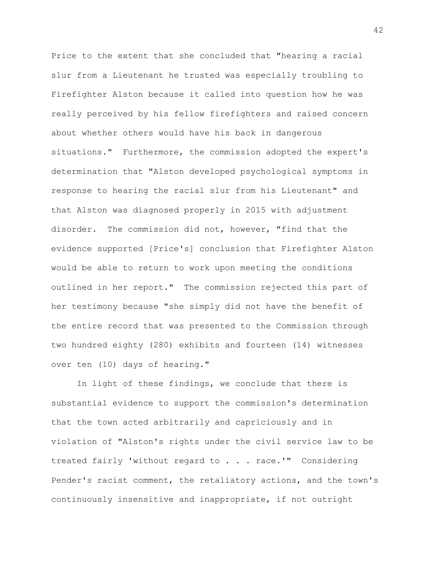Price to the extent that she concluded that "hearing a racial slur from a Lieutenant he trusted was especially troubling to Firefighter Alston because it called into question how he was really perceived by his fellow firefighters and raised concern about whether others would have his back in dangerous situations." Furthermore, the commission adopted the expert's determination that "Alston developed psychological symptoms in response to hearing the racial slur from his Lieutenant" and that Alston was diagnosed properly in 2015 with adjustment disorder. The commission did not, however, "find that the evidence supported [Price's] conclusion that Firefighter Alston would be able to return to work upon meeting the conditions outlined in her report." The commission rejected this part of her testimony because "she simply did not have the benefit of the entire record that was presented to the Commission through two hundred eighty (280) exhibits and fourteen (14) witnesses over ten (10) days of hearing."

In light of these findings, we conclude that there is substantial evidence to support the commission's determination that the town acted arbitrarily and capriciously and in violation of "Alston's rights under the civil service law to be treated fairly 'without regard to . . . race.'" Considering Pender's racist comment, the retaliatory actions, and the town's continuously insensitive and inappropriate, if not outright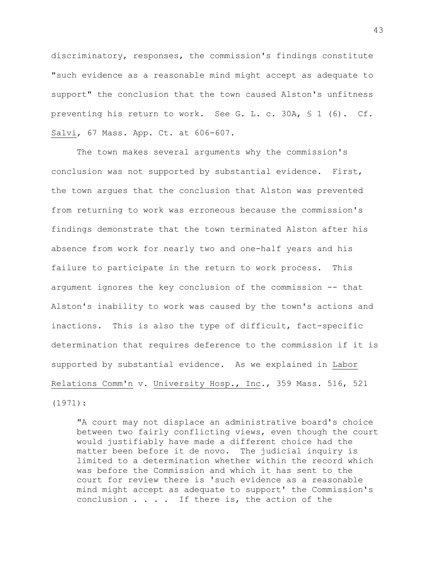discriminatory, responses, the commission's findings constitute "such evidence as a reasonable mind might accept as adequate to support" the conclusion that the town caused Alston's unfitness preventing his return to work. See G. L. c. 30A, § 1 (6). Cf. Salvi, 67 Mass. App. Ct. at 606-607.

The town makes several arguments why the commission's conclusion was not supported by substantial evidence. First, the town argues that the conclusion that Alston was prevented from returning to work was erroneous because the commission's findings demonstrate that the town terminated Alston after his absence from work for nearly two and one-half years and his failure to participate in the return to work process. This argument ignores the key conclusion of the commission -- that Alston's inability to work was caused by the town's actions and inactions. This is also the type of difficult, fact-specific determination that requires deference to the commission if it is supported by substantial evidence. As we explained in Labor Relations Comm'n v. University Hosp., Inc., 359 Mass. 516, 521 (1971):

"A court may not displace an administrative board's choice between two fairly conflicting views, even though the court would justifiably have made a different choice had the matter been before it de novo. The judicial inquiry is limited to a determination whether within the record which was before the Commission and which it has sent to the court for review there is 'such evidence as a reasonable mind might accept as adequate to support' the Commission's conclusion  $\ldots$  . If there is, the action of the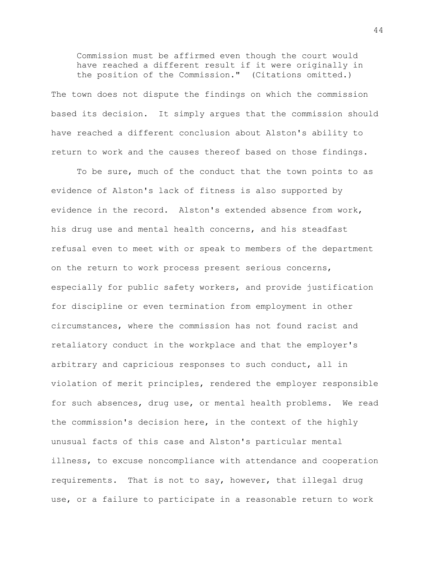Commission must be affirmed even though the court would have reached a different result if it were originally in the position of the Commission." (Citations omitted.)

The town does not dispute the findings on which the commission based its decision. It simply argues that the commission should have reached a different conclusion about Alston's ability to return to work and the causes thereof based on those findings.

To be sure, much of the conduct that the town points to as evidence of Alston's lack of fitness is also supported by evidence in the record. Alston's extended absence from work, his drug use and mental health concerns, and his steadfast refusal even to meet with or speak to members of the department on the return to work process present serious concerns, especially for public safety workers, and provide justification for discipline or even termination from employment in other circumstances, where the commission has not found racist and retaliatory conduct in the workplace and that the employer's arbitrary and capricious responses to such conduct, all in violation of merit principles, rendered the employer responsible for such absences, drug use, or mental health problems. We read the commission's decision here, in the context of the highly unusual facts of this case and Alston's particular mental illness, to excuse noncompliance with attendance and cooperation requirements. That is not to say, however, that illegal drug use, or a failure to participate in a reasonable return to work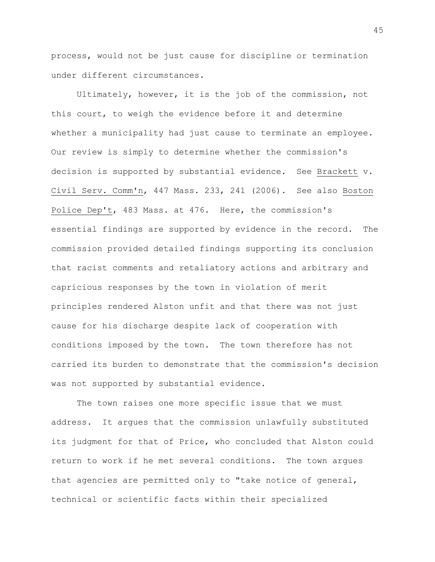process, would not be just cause for discipline or termination under different circumstances.

Ultimately, however, it is the job of the commission, not this court, to weigh the evidence before it and determine whether a municipality had just cause to terminate an employee. Our review is simply to determine whether the commission's decision is supported by substantial evidence. See Brackett v. Civil Serv. Comm'n, 447 Mass. 233, 241 (2006). See also Boston Police Dep't, 483 Mass. at 476. Here, the commission's essential findings are supported by evidence in the record. The commission provided detailed findings supporting its conclusion that racist comments and retaliatory actions and arbitrary and capricious responses by the town in violation of merit principles rendered Alston unfit and that there was not just cause for his discharge despite lack of cooperation with conditions imposed by the town. The town therefore has not carried its burden to demonstrate that the commission's decision was not supported by substantial evidence.

The town raises one more specific issue that we must address. It argues that the commission unlawfully substituted its judgment for that of Price, who concluded that Alston could return to work if he met several conditions. The town argues that agencies are permitted only to "take notice of general, technical or scientific facts within their specialized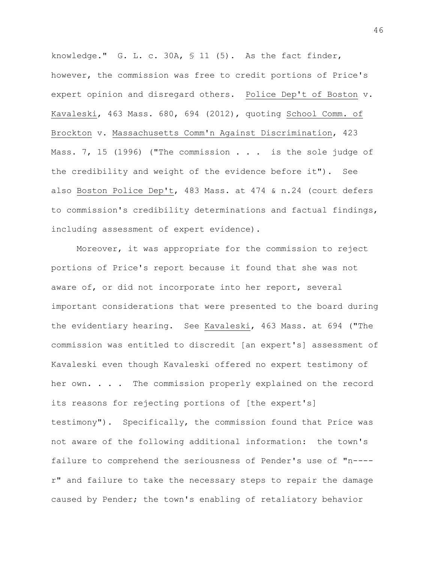knowledge." G. L. c. 30A, § 11 (5). As the fact finder, however, the commission was free to credit portions of Price's expert opinion and disregard others. Police Dep't of Boston v. Kavaleski, 463 Mass. 680, 694 (2012), quoting School Comm. of Brockton v. Massachusetts Comm'n Against Discrimination, 423 Mass. 7, 15 (1996) ("The commission . . . is the sole judge of the credibility and weight of the evidence before it"). See also Boston Police Dep't, 483 Mass. at 474 & n.24 (court defers to commission's credibility determinations and factual findings, including assessment of expert evidence).

Moreover, it was appropriate for the commission to reject portions of Price's report because it found that she was not aware of, or did not incorporate into her report, several important considerations that were presented to the board during the evidentiary hearing. See Kavaleski, 463 Mass. at 694 ("The commission was entitled to discredit [an expert's] assessment of Kavaleski even though Kavaleski offered no expert testimony of her own. . . . The commission properly explained on the record its reasons for rejecting portions of [the expert's] testimony"). Specifically, the commission found that Price was not aware of the following additional information: the town's failure to comprehend the seriousness of Pender's use of "n--- r" and failure to take the necessary steps to repair the damage caused by Pender; the town's enabling of retaliatory behavior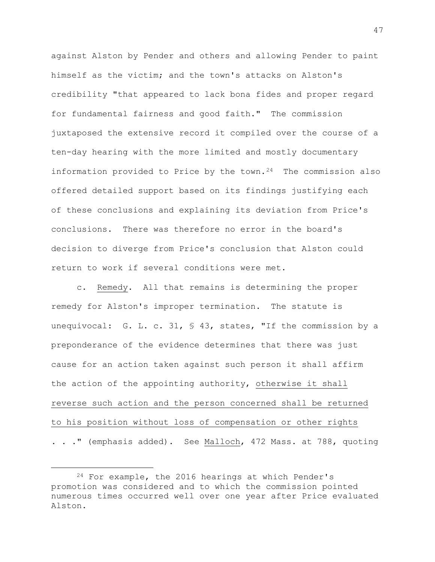against Alston by Pender and others and allowing Pender to paint himself as the victim; and the town's attacks on Alston's credibility "that appeared to lack bona fides and proper regard for fundamental fairness and good faith." The commission juxtaposed the extensive record it compiled over the course of a ten-day hearing with the more limited and mostly documentary information provided to Price by the town. $24$  The commission also offered detailed support based on its findings justifying each of these conclusions and explaining its deviation from Price's conclusions. There was therefore no error in the board's decision to diverge from Price's conclusion that Alston could return to work if several conditions were met.

c. Remedy. All that remains is determining the proper remedy for Alston's improper termination. The statute is unequivocal: G. L. c. 31, § 43, states, "If the commission by a preponderance of the evidence determines that there was just cause for an action taken against such person it shall affirm the action of the appointing authority, otherwise it shall reverse such action and the person concerned shall be returned to his position without loss of compensation or other rights . . ." (emphasis added). See Malloch, 472 Mass. at 788, quoting

<span id="page-46-0"></span><sup>24</sup> For example, the 2016 hearings at which Pender's promotion was considered and to which the commission pointed numerous times occurred well over one year after Price evaluated Alston.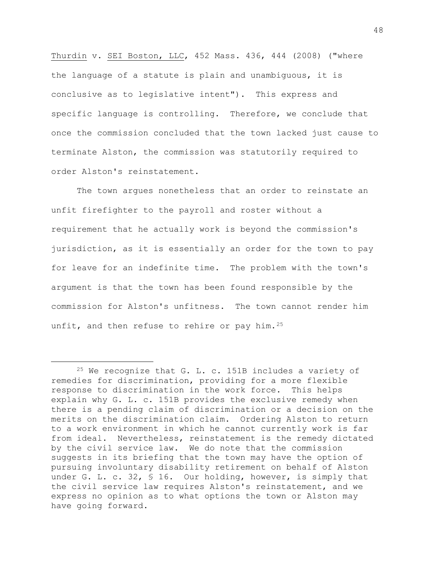Thurdin v. SEI Boston, LLC, 452 Mass. 436, 444 (2008) ("where the language of a statute is plain and unambiguous, it is conclusive as to legislative intent"). This express and specific language is controlling. Therefore, we conclude that once the commission concluded that the town lacked just cause to terminate Alston, the commission was statutorily required to order Alston's reinstatement.

The town argues nonetheless that an order to reinstate an unfit firefighter to the payroll and roster without a requirement that he actually work is beyond the commission's jurisdiction, as it is essentially an order for the town to pay for leave for an indefinite time. The problem with the town's argument is that the town has been found responsible by the commission for Alston's unfitness. The town cannot render him unfit, and then refuse to rehire or pay him.<sup>[25](#page-47-0)</sup>

<span id="page-47-0"></span><sup>25</sup> We recognize that G. L. c. 151B includes a variety of remedies for discrimination, providing for a more flexible response to discrimination in the work force. This helps explain why G. L. c. 151B provides the exclusive remedy when there is a pending claim of discrimination or a decision on the merits on the discrimination claim. Ordering Alston to return to a work environment in which he cannot currently work is far from ideal. Nevertheless, reinstatement is the remedy dictated by the civil service law. We do note that the commission suggests in its briefing that the town may have the option of pursuing involuntary disability retirement on behalf of Alston under G. L. c. 32, § 16. Our holding, however, is simply that the civil service law requires Alston's reinstatement, and we express no opinion as to what options the town or Alston may have going forward.